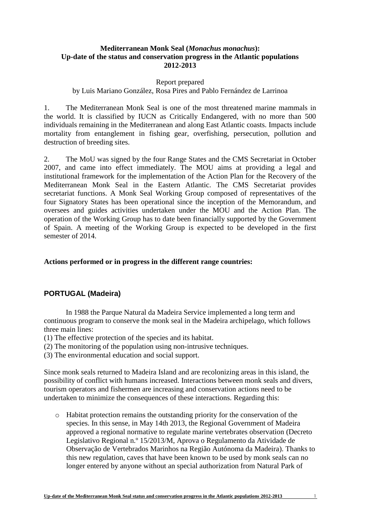### **Mediterranean Monk Seal (***Monachus monachus***): Up-date of the status and conservation progress in the Atlantic populations 2012-2013**

#### Report prepared

by Luis Mariano González, Rosa Pires and Pablo Fernández de Larrinoa

1. The Mediterranean Monk Seal is one of the most threatened marine mammals in the world. It is classified by IUCN as Critically Endangered, with no more than 500 individuals remaining in the Mediterranean and along East Atlantic coasts. Impacts include mortality from entanglement in fishing gear, overfishing, persecution, pollution and destruction of breeding sites.

2. The MoU was signed by the four Range States and the CMS Secretariat in October 2007, and came into effect immediately. The MOU aims at providing a legal and institutional framework for the implementation of the Action Plan for the Recovery of the Mediterranean Monk Seal in the Eastern Atlantic. The CMS Secretariat provides secretariat functions. A Monk Seal Working Group composed of representatives of the four Signatory States has been operational since the inception of the Memorandum, and oversees and guides activities undertaken under the MOU and the Action Plan. The operation of the Working Group has to date been financially supported by the Government of Spain. A meeting of the Working Group is expected to be developed in the first semester of 2014.

#### **Actions performed or in progress in the different range countries:**

### **PORTUGAL (Madeira)**

In 1988 the Parque Natural da Madeira Service implemented a long term and continuous program to conserve the monk seal in the Madeira archipelago, which follows three main lines:

- (1) The effective protection of the species and its habitat.
- (2) The monitoring of the population using non-intrusive techniques.
- (3) The environmental education and social support.

Since monk seals returned to Madeira Island and are recolonizing areas in this island, the possibility of conflict with humans increased. Interactions between monk seals and divers, tourism operators and fishermen are increasing and conservation actions need to be undertaken to minimize the consequences of these interactions. Regarding this:

o Habitat protection remains the outstanding priority for the conservation of the species. In this sense, in May 14th 2013, the Regional Government of Madeira approved a regional normative to regulate marine vertebrates observation (Decreto Legislativo Regional n.º 15/2013/M, Aprova o Regulamento da Atividade de Observação de Vertebrados Marinhos na Região Autónoma da Madeira). Thanks to this new regulation, caves that have been known to be used by monk seals can no longer entered by anyone without an special authorization from Natural Park of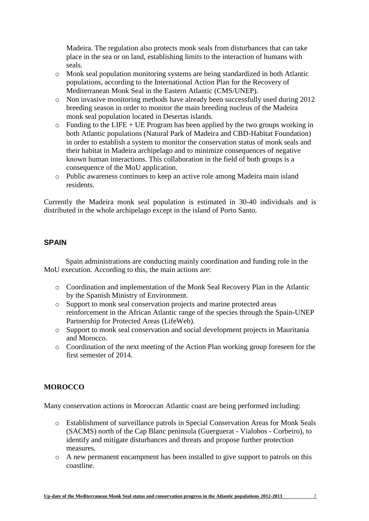Madeira. The regulation also protects monk seals from disturbances that can take place in the sea or on land, establishing limits to the interaction of humans with seals.

- o Monk seal population monitoring systems are being standardized in both Atlantic populations, according to the International Action Plan for the Recovery of Mediterranean Monk Seal in the Eastern Atlantic (CMS/UNEP).
- o Non invasive monitoring methods have already been successfully used during 2012 breeding season in order to monitor the main breeding nucleus of the Madeira monk seal population located in Desertas islands.
- $\circ$  Funding to the LIFE + UE Program has been applied by the two groups working in both Atlantic populations (Natural Park of Madeira and CBD-Habitat Foundation) in order to establish a system to monitor the conservation status of monk seals and their habitat in Madeira archipelago and to minimize consequences of negative known human interactions. This collaboration in the field of both groups is a consequence of the MoU application.
- o Public awareness continues to keep an active role among Madeira main island residents.

Currently the Madeira monk seal population is estimated in 30-40 individuals and is distributed in the whole archipelago except in the island of Porto Santo.

## **SPAIN**

Spain administrations are conducting mainly coordination and funding role in the MoU execution. According to this, the main actions are:

- o Coordination and implementation of the Monk Seal Recovery Plan in the Atlantic by the Spanish Ministry of Environment.
- o Support to monk seal conservation projects and marine protected areas reinforcement in the African Atlantic range of the species through the Spain-UNEP Partnership for Protected Areas (LifeWeb).
- o Support to monk seal conservation and social development projects in Mauritania and Morocco.
- o Coordination of the next meeting of the Action Plan working group foreseen for the first semester of 2014.

# **MOROCCO**

Many conservation actions in Moroccan Atlantic coast are being performed including:

- o Establishment of surveillance patrols in Special Conservation Areas for Monk Seals (SACMS) north of the Cap Blanc peninsula (Guerguerat - Vialobos - Corbeiro), to identify and mitigate disturbances and threats and propose further protection measures.
- o A new permanent encampment has been installed to give support to patrols on this coastline.